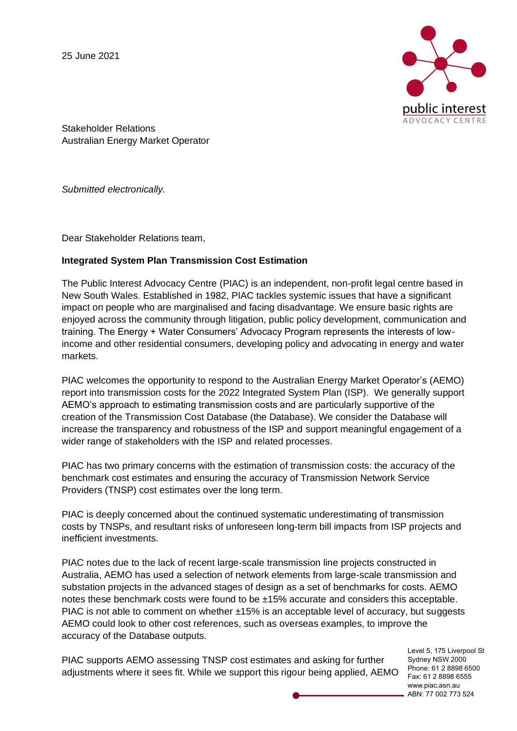25 June 2021



Stakeholder Relations Australian Energy Market Operator

*Submitted electronically.* 

Dear Stakeholder Relations team,

## **Integrated System Plan Transmission Cost Estimation**

The Public Interest Advocacy Centre (PIAC) is an independent, non-profit legal centre based in New South Wales. Established in 1982, PIAC tackles systemic issues that have a significant impact on people who are marginalised and facing disadvantage. We ensure basic rights are enjoyed across the community through litigation, public policy development, communication and training. The Energy + Water Consumers' Advocacy Program represents the interests of lowincome and other residential consumers, developing policy and advocating in energy and water markets.

PIAC welcomes the opportunity to respond to the Australian Energy Market Operator's (AEMO) report into transmission costs for the 2022 Integrated System Plan (ISP). We generally support AEMO's approach to estimating transmission costs and are particularly supportive of the creation of the Transmission Cost Database (the Database). We consider the Database will increase the transparency and robustness of the ISP and support meaningful engagement of a wider range of stakeholders with the ISP and related processes.

PIAC has two primary concerns with the estimation of transmission costs: the accuracy of the benchmark cost estimates and ensuring the accuracy of Transmission Network Service Providers (TNSP) cost estimates over the long term.

PIAC is deeply concerned about the continued systematic underestimating of transmission costs by TNSPs, and resultant risks of unforeseen long-term bill impacts from ISP projects and inefficient investments.

PIAC notes due to the lack of recent large-scale transmission line projects constructed in Australia, AEMO has used a selection of network elements from large-scale transmission and substation projects in the advanced stages of design as a set of benchmarks for costs. AEMO notes these benchmark costs were found to be ±15% accurate and considers this acceptable. PIAC is not able to comment on whether  $\pm 15\%$  is an acceptable level of accuracy, but suggests AEMO could look to other cost references, such as overseas examples, to improve the accuracy of the Database outputs.

PIAC supports AEMO assessing TNSP cost estimates and asking for further adjustments where it sees fit. While we support this rigour being applied, AEMO

Level 5, 175 Liverpool St Sydney NSW 2000 Phone: 61 2 8898 6500 Fax: 61 2 8898 6555 www.piac.asn.au ABN: 77 002 773 524